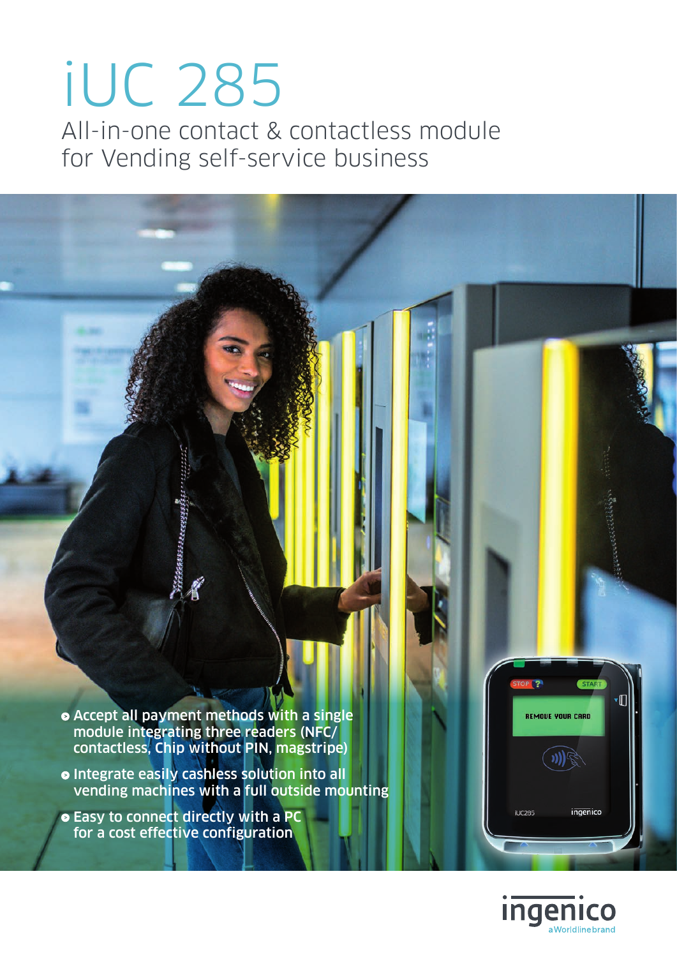# iUC 285 All-in-one contact & contactless module for Vending self-service business

Accept all payment methods with a single module integrating three readers (NFC/ contactless, Chip without PIN, magstripe)

- Integrate easily cashless solution into all vending machines with a full outside mounting
- **Easy to connect directly with a PC** for a cost effective configuration



TOP<sub>(2</sub>)

**ILIC285** 

**REMOVE YOUR CARD** 

START

ingenico